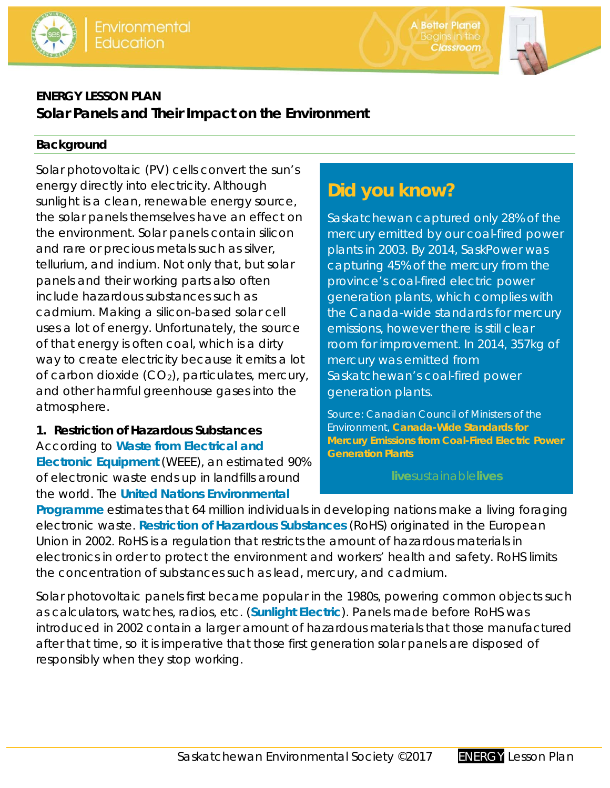

**A Better Planet** Begins in the<br>**Classroom** 



## **ENERGY LESSON PLAN Solar Panels and Their Impact on the Environment**

### **Background**

Solar photovoltaic (PV) cells convert the sun's energy directly into electricity. Although sunlight is a clean, renewable energy source, the solar panels themselves have an effect on the environment. Solar panels contain silicon and rare or precious metals such as silver, tellurium, and indium. Not only that, but solar panels and their working parts also often include hazardous substances such as cadmium. Making a silicon-based solar cell uses a lot of energy. Unfortunately, the source of that energy is often coal, which is a dirty way to create electricity because it emits a lot of carbon dioxide  $(CO_2)$ , particulates, mercury, and other harmful greenhouse gases into the atmosphere.

#### **1. Restriction of Hazardous Substances**  According to **Waste from Electrical and Electronic Equipment** (WEEE), an estimated 90% of electronic waste ends up in landfills around the world. The **United Nations Environmental**

# **Did you know?**

Saskatchewan captured only 28% of the mercury emitted by our coal-fired power plants in 2003. By 2014, SaskPower was capturing 45% of the mercury from the province's coal-fired electric power generation plants, which complies with the Canada-wide standards for mercury emissions, however there is still clear room for improvement. In 2014, 357kg of mercury was emitted from Saskatchewan's coal-fired power generation plants.

Source: Canadian Council of Ministers of the Environment, **Canada-Wide Standards for Mercury Emissions from Coal-Fired Electric Power Generation Plants**

**live**sustainable**lives**

**Programme** estimates that 64 million individuals in developing nations make a living foraging electronic waste. **Restriction of Hazardous Substances** (RoHS) originated in the European Union in 2002. RoHS is a regulation that restricts the amount of hazardous materials in electronics in order to protect the environment and workers' health and safety. RoHS limits the concentration of substances such as lead, mercury, and cadmium.

Solar photovoltaic panels first became popular in the 1980s, powering common objects such as calculators, watches, radios, etc. (**Sunlight Electric**). Panels made before RoHS was introduced in 2002 contain a larger amount of hazardous materials that those manufactured after that time, so it is imperative that those first generation solar panels are disposed of responsibly when they stop working.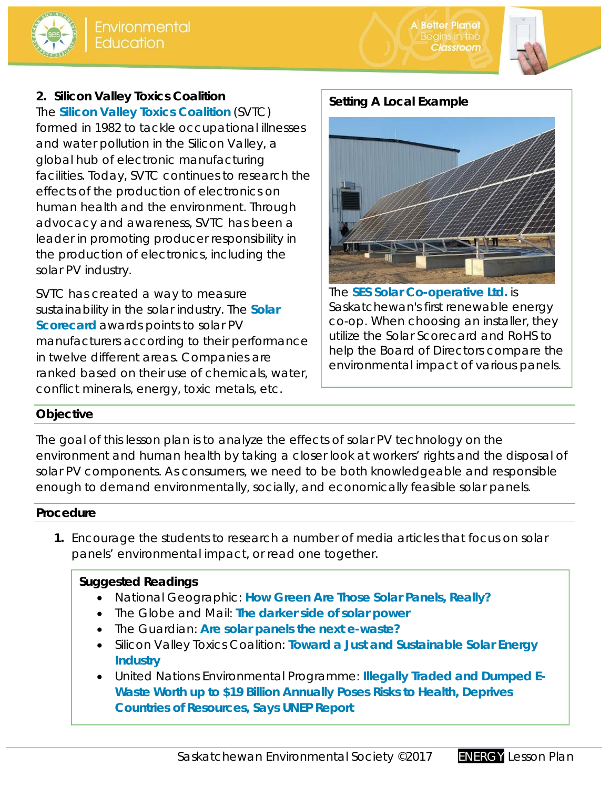



### **2. Silicon Valley Toxics Coalition**

The **Silicon Valley Toxics Coalition** (SVTC) formed in 1982 to tackle occupational illnesses and water pollution in the Silicon Valley, a global hub of electronic manufacturing facilities. Today, SVTC continues to research the effects of the production of electronics on human health and the environment. Through advocacy and awareness, SVTC has been a leader in promoting producer responsibility in the production of electronics, including the solar PV industry.

SVTC has created a way to measure sustainability in the solar industry. The **Solar Scorecard** awards points to solar PV manufacturers according to their performance in twelve different areas. Companies are ranked based on their use of chemicals, water, conflict minerals, energy, toxic metals, etc.

#### **Setting A Local Example**



The **SES Solar Co-operative Ltd.** is Saskatchewan's first renewable energy co-op. When choosing an installer, they utilize the Solar Scorecard and RoHS to help the Board of Directors compare the environmental impact of various panels.

#### **Objective**

The goal of this lesson plan is to analyze the effects of solar PV technology on the environment and human health by taking a closer look at workers' rights and the disposal of solar PV components. As consumers, we need to be both knowledgeable and responsible enough to demand environmentally, socially, and economically feasible solar panels.

#### **Procedure**

**1.** Encourage the students to research a number of media articles that focus on solar panels' environmental impact, or read one together.

#### **Suggested Readings**

- National Geographic: **How Green Are Those Solar Panels, Really?**
- The Globe and Mail: **The darker side of solar power**
- The Guardian: **Are solar panels the next e-waste?**
- Silicon Valley Toxics Coalition: **Toward a Just and Sustainable Solar Energy Industry**
- United Nations Environmental Programme: **Illegally Traded and Dumped E-Waste Worth up to \$19 Billion Annually Poses Risks to Health, Deprives Countries of Resources, Says UNEP Report**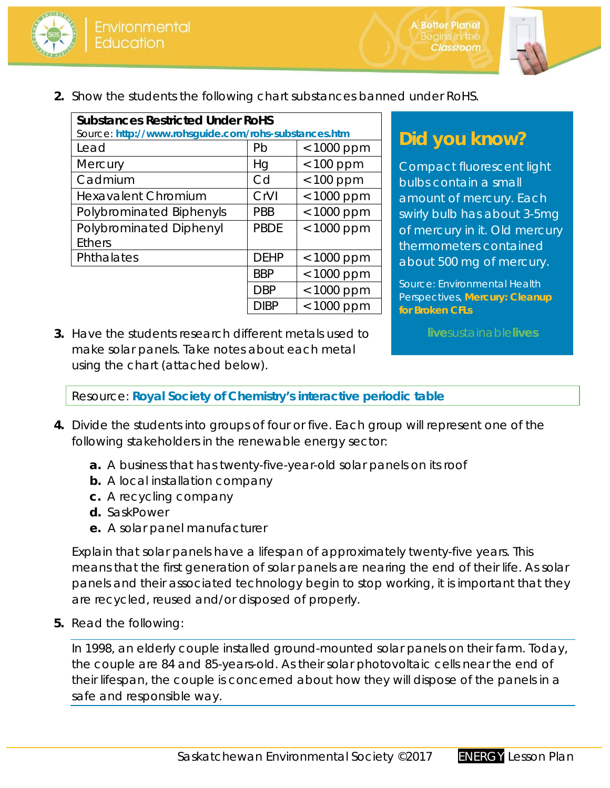



**2.** Show the students the following chart substances banned under RoHS.

| <b>Substances Restricted Under RoHS</b>              |             |              |  |  |  |  |
|------------------------------------------------------|-------------|--------------|--|--|--|--|
| Source: http://www.rohsguide.com/rohs-substances.htm |             |              |  |  |  |  |
| Lead                                                 | Pb          | < 1000 ppm   |  |  |  |  |
| Mercury                                              | Hg          | $< 100$ ppm  |  |  |  |  |
| Cadmium                                              | Cd          | $< 100$ ppm  |  |  |  |  |
| <b>Hexavalent Chromium</b>                           | CrVI        | < 1000 ppm   |  |  |  |  |
| Polybrominated Biphenyls                             | <b>PBB</b>  | $< 1000$ ppm |  |  |  |  |
| Polybrominated Diphenyl                              | <b>PBDE</b> | $< 1000$ ppm |  |  |  |  |
| <b>Ethers</b>                                        |             |              |  |  |  |  |
| Phthalates                                           | <b>DEHP</b> | < 1000 ppm   |  |  |  |  |
|                                                      | <b>BBP</b>  | $< 1000$ ppm |  |  |  |  |
|                                                      | <b>DBP</b>  | $< 1000$ ppm |  |  |  |  |
|                                                      | DIBP        | $< 1000$ ppm |  |  |  |  |

## **Did you know?**

Compact fluorescent light bulbs contain a small amount of mercury. Each swirly bulb has about 3-5mg of mercury in it. Old mercury thermometers contained about 500 mg of mercury.

Source: Environmental Health Perspectives, **Mercury: Cleanup for Broken CFLs**

**live**sustainable**lives**

**3.** Have the students research different metals used to make solar panels. Take notes about each metal using the chart (attached below).

*Resource*: **Royal Society of Chemistry's interactive periodic table**

- **4.** Divide the students into groups of four or five. Each group will represent one of the following stakeholders in the renewable energy sector:
	- **a.** A business that has twenty-five-year-old solar panels on its roof
	- **b.** A local installation company
	- **c.** A recycling company
	- **d.** SaskPower
	- **e.** A solar panel manufacturer

Explain that solar panels have a lifespan of approximately twenty-five years. This means that the first generation of solar panels are nearing the end of their life. As solar panels and their associated technology begin to stop working, it is important that they are recycled, reused and/or disposed of properly.

**5.** Read the following:

In 1998, an elderly couple installed ground-mounted solar panels on their farm. Today, the couple are 84 and 85-years-old. As their solar photovoltaic cells near the end of their lifespan, the couple is concerned about how they will dispose of the panels in a safe and responsible way.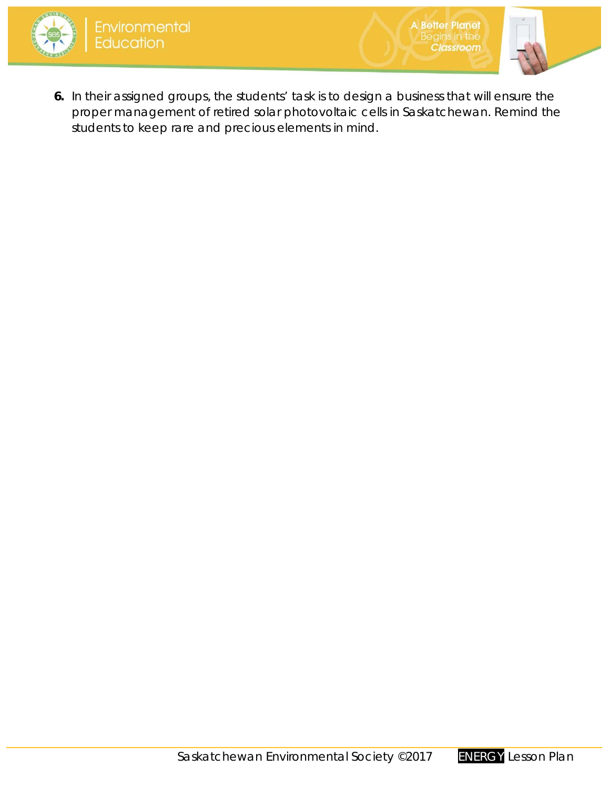



**6.** In their assigned groups, the students' task is to design a business that will ensure the proper management of retired solar photovoltaic cells in Saskatchewan. Remind the students to keep rare and precious elements in mind.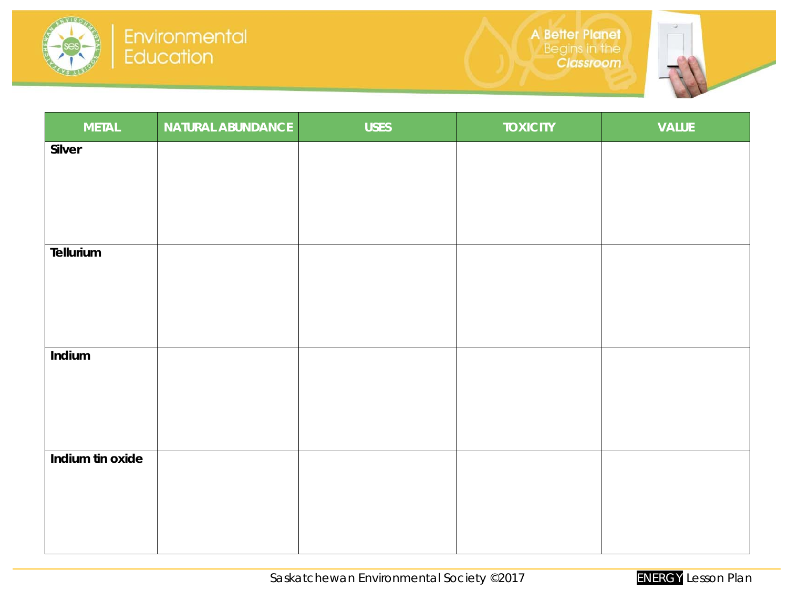



| <b>METAL</b>     | NATURAL ABUNDANCE | <b>USES</b> | <b>TOXICITY</b> | <b>VALUE</b> |
|------------------|-------------------|-------------|-----------------|--------------|
| Silver           |                   |             |                 |              |
|                  |                   |             |                 |              |
|                  |                   |             |                 |              |
|                  |                   |             |                 |              |
| Tellurium        |                   |             |                 |              |
|                  |                   |             |                 |              |
|                  |                   |             |                 |              |
|                  |                   |             |                 |              |
| Indium           |                   |             |                 |              |
|                  |                   |             |                 |              |
|                  |                   |             |                 |              |
| Indium tin oxide |                   |             |                 |              |
|                  |                   |             |                 |              |
|                  |                   |             |                 |              |
|                  |                   |             |                 |              |
|                  |                   |             |                 |              |

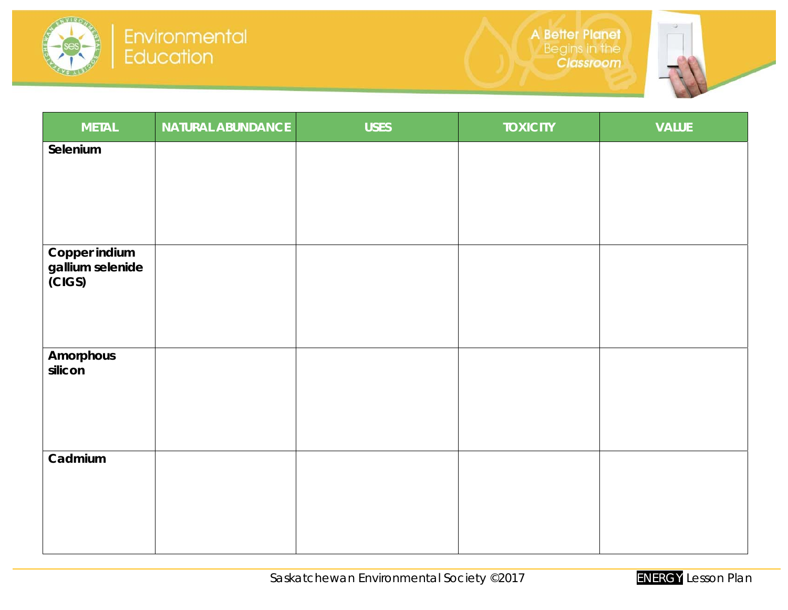



| <b>METAL</b>                      | <b>NATURAL ABUNDANCE</b> | <b>USES</b> | <b>TOXICITY</b> | <b>VALUE</b> |
|-----------------------------------|--------------------------|-------------|-----------------|--------------|
| Selenium                          |                          |             |                 |              |
|                                   |                          |             |                 |              |
|                                   |                          |             |                 |              |
|                                   |                          |             |                 |              |
| Copper indium<br>gallium selenide |                          |             |                 |              |
| $\overline{\text{CGS}}$           |                          |             |                 |              |
|                                   |                          |             |                 |              |
|                                   |                          |             |                 |              |
| Amorphous<br>silicon              |                          |             |                 |              |
|                                   |                          |             |                 |              |
|                                   |                          |             |                 |              |
|                                   |                          |             |                 |              |
| Cadmium                           |                          |             |                 |              |
|                                   |                          |             |                 |              |
|                                   |                          |             |                 |              |
|                                   |                          |             |                 |              |